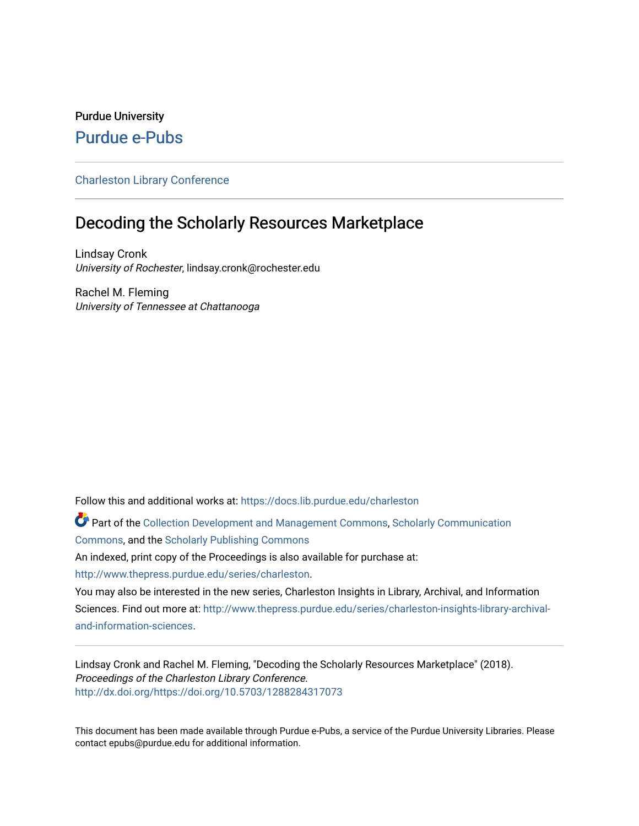# Purdue University [Purdue e-Pubs](https://docs.lib.purdue.edu/)

## [Charleston Library Conference](https://docs.lib.purdue.edu/charleston)

# Decoding the Scholarly Resources Marketplace

Lindsay Cronk University of Rochester, lindsay.cronk@rochester.edu

Rachel M. Fleming University of Tennessee at Chattanooga

Follow this and additional works at: [https://docs.lib.purdue.edu/charleston](https://docs.lib.purdue.edu/charleston?utm_source=docs.lib.purdue.edu%2Fcharleston%2F2018%2Fupandcoming%2F3&utm_medium=PDF&utm_campaign=PDFCoverPages) 

Part of the [Collection Development and Management Commons,](http://network.bepress.com/hgg/discipline/1271?utm_source=docs.lib.purdue.edu%2Fcharleston%2F2018%2Fupandcoming%2F3&utm_medium=PDF&utm_campaign=PDFCoverPages) [Scholarly Communication](http://network.bepress.com/hgg/discipline/1272?utm_source=docs.lib.purdue.edu%2Fcharleston%2F2018%2Fupandcoming%2F3&utm_medium=PDF&utm_campaign=PDFCoverPages) [Commons](http://network.bepress.com/hgg/discipline/1272?utm_source=docs.lib.purdue.edu%2Fcharleston%2F2018%2Fupandcoming%2F3&utm_medium=PDF&utm_campaign=PDFCoverPages), and the [Scholarly Publishing Commons](http://network.bepress.com/hgg/discipline/1273?utm_source=docs.lib.purdue.edu%2Fcharleston%2F2018%2Fupandcoming%2F3&utm_medium=PDF&utm_campaign=PDFCoverPages) 

An indexed, print copy of the Proceedings is also available for purchase at:

[http://www.thepress.purdue.edu/series/charleston.](http://www.thepress.purdue.edu/series/charleston)

You may also be interested in the new series, Charleston Insights in Library, Archival, and Information Sciences. Find out more at: [http://www.thepress.purdue.edu/series/charleston-insights-library-archival](http://www.thepress.purdue.edu/series/charleston-insights-library-archival-and-information-sciences)[and-information-sciences](http://www.thepress.purdue.edu/series/charleston-insights-library-archival-and-information-sciences).

Lindsay Cronk and Rachel M. Fleming, "Decoding the Scholarly Resources Marketplace" (2018). Proceedings of the Charleston Library Conference. <http://dx.doi.org/https://doi.org/10.5703/1288284317073>

This document has been made available through Purdue e-Pubs, a service of the Purdue University Libraries. Please contact epubs@purdue.edu for additional information.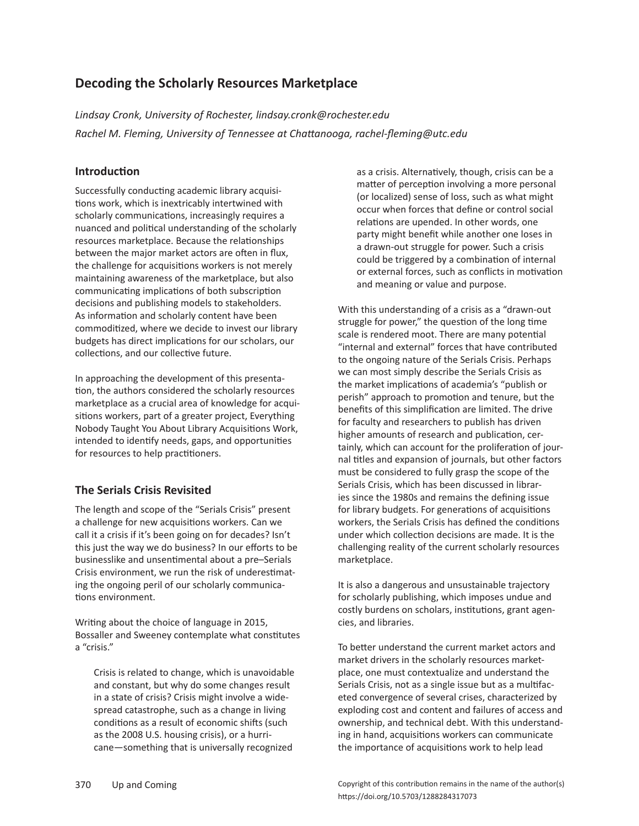## **Decoding the Scholarly Resources Marketplace**

*Lindsay Cronk, University of Rochester, lindsay.cronk@rochester.edu Rachel M. Fleming, University of Tennessee at Chattanooga, rachel-fleming@utc.edu*

## **Introduction**

Successfully conducting academic library acquisitions work, which is inextricably intertwined with scholarly communications, increasingly requires a nuanced and political understanding of the scholarly resources marketplace. Because the relationships between the major market actors are often in flux, the challenge for acquisitions workers is not merely maintaining awareness of the marketplace, but also communicating implications of both subscription decisions and publishing models to stakeholders. As information and scholarly content have been commoditized, where we decide to invest our library budgets has direct implications for our scholars, our collections, and our collective future.

In approaching the development of this presentation, the authors considered the scholarly resources marketplace as a crucial area of knowledge for acquisitions workers, part of a greater project, Everything Nobody Taught You About Library Acquisitions Work, intended to identify needs, gaps, and opportunities for resources to help practitioners.

## **The Serials Crisis Revisited**

The length and scope of the "Serials Crisis" present a challenge for new acquisitions workers. Can we call it a crisis if it's been going on for decades? Isn't this just the way we do business? In our efforts to be businesslike and unsentimental about a pre–Serials Crisis environment, we run the risk of underestimating the ongoing peril of our scholarly communications environment.

Writing about the choice of language in 2015, Bossaller and Sweeney contemplate what constitutes a "crisis."

Crisis is related to change, which is unavoidable and constant, but why do some changes result in a state of crisis? Crisis might involve a widespread catastrophe, such as a change in living conditions as a result of economic shifts (such as the 2008 U.S. housing crisis), or a hurricane—something that is universally recognized

as a crisis. Alternatively, though, crisis can be a matter of perception involving a more personal (or localized) sense of loss, such as what might occur when forces that define or control social relations are upended. In other words, one party might benefit while another one loses in a drawn-out struggle for power. Such a crisis could be triggered by a combination of internal or external forces, such as conflicts in motivation and meaning or value and purpose.

With this understanding of a crisis as a "drawn-out struggle for power," the question of the long time scale is rendered moot. There are many potential "internal and external" forces that have contributed to the ongoing nature of the Serials Crisis. Perhaps we can most simply describe the Serials Crisis as the market implications of academia's "publish or perish" approach to promotion and tenure, but the benefits of this simplification are limited. The drive for faculty and researchers to publish has driven higher amounts of research and publication, certainly, which can account for the proliferation of journal titles and expansion of journals, but other factors must be considered to fully grasp the scope of the Serials Crisis, which has been discussed in libraries since the 1980s and remains the defining issue for library budgets. For generations of acquisitions workers, the Serials Crisis has defined the conditions under which collection decisions are made. It is the challenging reality of the current scholarly resources marketplace.

It is also a dangerous and unsustainable trajectory for scholarly publishing, which imposes undue and costly burdens on scholars, institutions, grant agencies, and libraries.

To better understand the current market actors and market drivers in the scholarly resources marketplace, one must contextualize and understand the Serials Crisis, not as a single issue but as a multifaceted convergence of several crises, characterized by exploding cost and content and failures of access and ownership, and technical debt. With this understanding in hand, acquisitions workers can communicate the importance of acquisitions work to help lead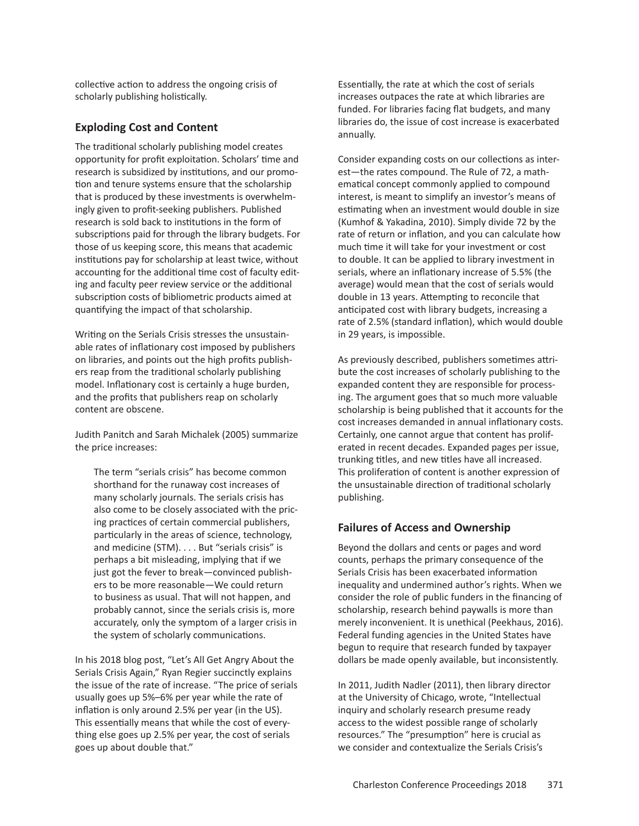collective action to address the ongoing crisis of scholarly publishing holistically.

#### **Exploding Cost and Content**

The traditional scholarly publishing model creates opportunity for profit exploitation. Scholars' time and research is subsidized by institutions, and our promotion and tenure systems ensure that the scholarship that is produced by these investments is overwhelmingly given to profit-seeking publishers. Published research is sold back to institutions in the form of subscriptions paid for through the library budgets. For those of us keeping score, this means that academic institutions pay for scholarship at least twice, without accounting for the additional time cost of faculty editing and faculty peer review service or the additional subscription costs of bibliometric products aimed at quantifying the impact of that scholarship.

Writing on the Serials Crisis stresses the unsustainable rates of inflationary cost imposed by publishers on libraries, and points out the high profits publishers reap from the traditional scholarly publishing model. Inflationary cost is certainly a huge burden, and the profits that publishers reap on scholarly content are obscene.

Judith Panitch and Sarah Michalek (2005) summarize the price increases:

The term "serials crisis" has become common shorthand for the runaway cost increases of many scholarly journals. The serials crisis has also come to be closely associated with the pricing practices of certain commercial publishers, particularly in the areas of science, technology, and medicine (STM). . . . But "serials crisis" is perhaps a bit misleading, implying that if we just got the fever to break—convinced publishers to be more reasonable—We could return to business as usual. That will not happen, and probably cannot, since the serials crisis is, more accurately, only the symptom of a larger crisis in the system of scholarly communications.

In his 2018 blog post, "Let's All Get Angry About the Serials Crisis Again," Ryan Regier succinctly explains the issue of the rate of increase. "The price of serials usually goes up 5%–6% per year while the rate of inflation is only around 2.5% per year (in the US). This essentially means that while the cost of everything else goes up 2.5% per year, the cost of serials goes up about double that."

Essentially, the rate at which the cost of serials increases outpaces the rate at which libraries are funded. For libraries facing flat budgets, and many libraries do, the issue of cost increase is exacerbated annually.

Consider expanding costs on our collections as interest—the rates compound. The Rule of 72, a mathematical concept commonly applied to compound interest, is meant to simplify an investor's means of estimating when an investment would double in size (Kumhof & Yakadina, 2010). Simply divide 72 by the rate of return or inflation, and you can calculate how much time it will take for your investment or cost to double. It can be applied to library investment in serials, where an inflationary increase of 5.5% (the average) would mean that the cost of serials would double in 13 years. Attempting to reconcile that anticipated cost with library budgets, increasing a rate of 2.5% (standard inflation), which would double in 29 years, is impossible.

As previously described, publishers sometimes attribute the cost increases of scholarly publishing to the expanded content they are responsible for processing. The argument goes that so much more valuable scholarship is being published that it accounts for the cost increases demanded in annual inflationary costs. Certainly, one cannot argue that content has proliferated in recent decades. Expanded pages per issue, trunking titles, and new titles have all increased. This proliferation of content is another expression of the unsustainable direction of traditional scholarly publishing.

#### **Failures of Access and Ownership**

Beyond the dollars and cents or pages and word counts, perhaps the primary consequence of the Serials Crisis has been exacerbated information inequality and undermined author's rights. When we consider the role of public funders in the financing of scholarship, research behind paywalls is more than merely inconvenient. It is unethical (Peekhaus, 2016). Federal funding agencies in the United States have begun to require that research funded by taxpayer dollars be made openly available, but inconsistently.

In 2011, Judith Nadler (2011), then library director at the University of Chicago, wrote, "Intellectual inquiry and scholarly research presume ready access to the widest possible range of scholarly resources." The "presumption" here is crucial as we consider and contextualize the Serials Crisis's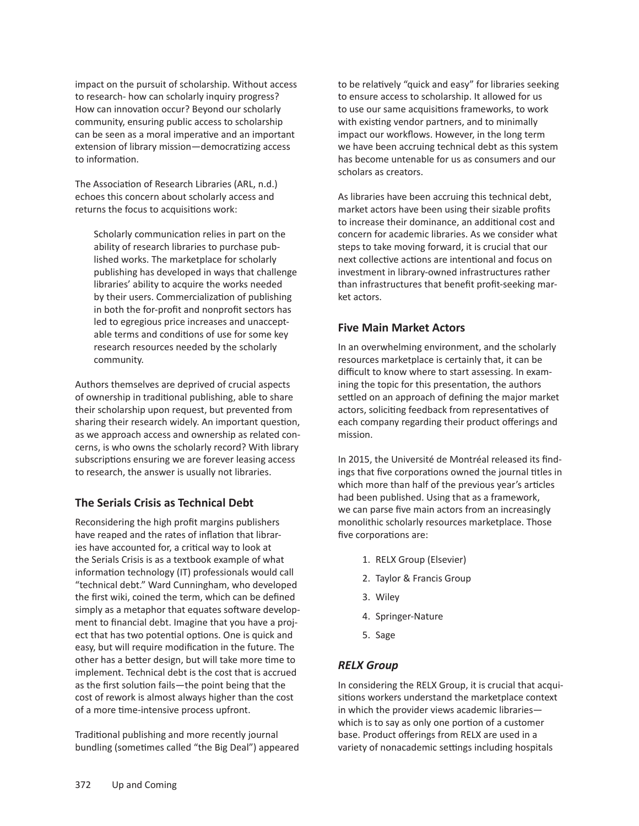impact on the pursuit of scholarship. Without access to research- how can scholarly inquiry progress? How can innovation occur? Beyond our scholarly community, ensuring public access to scholarship can be seen as a moral imperative and an important extension of library mission—democratizing access to information.

The Association of Research Libraries (ARL, n.d.) echoes this concern about scholarly access and returns the focus to acquisitions work:

Scholarly communication relies in part on the ability of research libraries to purchase published works. The marketplace for scholarly publishing has developed in ways that challenge libraries' ability to acquire the works needed by their users. Commercialization of publishing in both the for-profit and nonprofit sectors has led to egregious price increases and unacceptable terms and conditions of use for some key research resources needed by the scholarly community.

Authors themselves are deprived of crucial aspects of ownership in traditional publishing, able to share their scholarship upon request, but prevented from sharing their research widely. An important question, as we approach access and ownership as related concerns, is who owns the scholarly record? With library subscriptions ensuring we are forever leasing access to research, the answer is usually not libraries.

## **The Serials Crisis as Technical Debt**

Reconsidering the high profit margins publishers have reaped and the rates of inflation that libraries have accounted for, a critical way to look at the Serials Crisis is as a textbook example of what information technology (IT) professionals would call "technical debt." Ward Cunningham, who developed the first wiki, coined the term, which can be defined simply as a metaphor that equates software development to financial debt. Imagine that you have a project that has two potential options. One is quick and easy, but will require modification in the future. The other has a better design, but will take more time to implement. Technical debt is the cost that is accrued as the first solution fails—the point being that the cost of rework is almost always higher than the cost of a more time-intensive process upfront.

Traditional publishing and more recently journal bundling (sometimes called "the Big Deal") appeared to be relatively "quick and easy" for libraries seeking to ensure access to scholarship. It allowed for us to use our same acquisitions frameworks, to work with existing vendor partners, and to minimally impact our workflows. However, in the long term we have been accruing technical debt as this system has become untenable for us as consumers and our scholars as creators.

As libraries have been accruing this technical debt, market actors have been using their sizable profits to increase their dominance, an additional cost and concern for academic libraries. As we consider what steps to take moving forward, it is crucial that our next collective actions are intentional and focus on investment in library-owned infrastructures rather than infrastructures that benefit profit-seeking market actors.

### **Five Main Market Actors**

In an overwhelming environment, and the scholarly resources marketplace is certainly that, it can be difficult to know where to start assessing. In examining the topic for this presentation, the authors settled on an approach of defining the major market actors, soliciting feedback from representatives of each company regarding their product offerings and mission.

In 2015, the Université de Montréal released its findings that five corporations owned the journal titles in which more than half of the previous year's articles had been published. Using that as a framework, we can parse five main actors from an increasingly monolithic scholarly resources marketplace. Those five corporations are:

- 1. RELX Group (Elsevier)
- 2. Taylor & Francis Group
- 3. Wiley
- 4. Springer-Nature
- 5. Sage

## *RELX Group*

In considering the RELX Group, it is crucial that acquisitions workers understand the marketplace context in which the provider views academic libraries which is to say as only one portion of a customer base. Product offerings from RELX are used in a variety of nonacademic settings including hospitals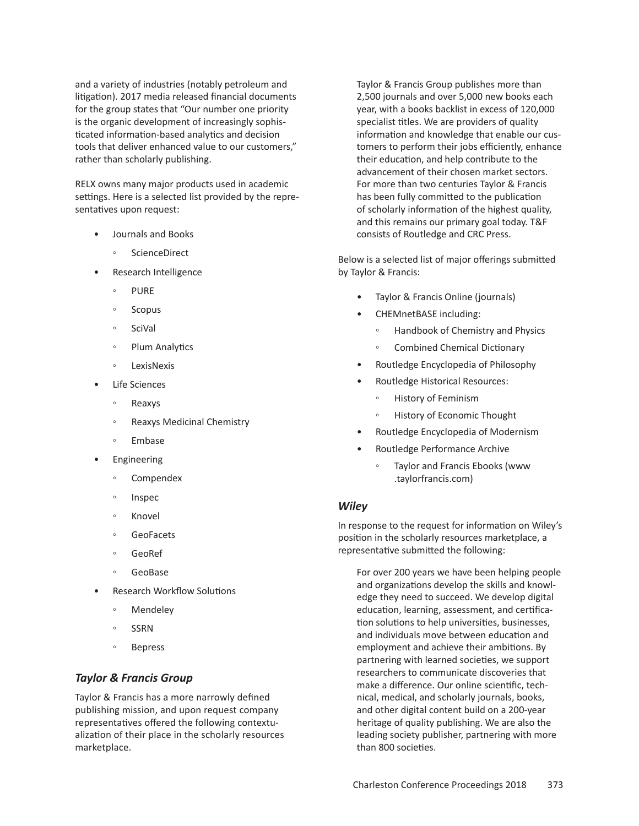and a variety of industries (notably petroleum and litigation). 2017 media released financial documents for the group states that "Our number one priority is the organic development of increasingly sophisticated information-based analytics and decision tools that deliver enhanced value to our customers," rather than scholarly publishing.

RELX owns many major products used in academic settings. Here is a selected list provided by the representatives upon request:

- Journals and Books
	- **ScienceDirect**
- Research Intelligence
	- PURE
	- Scopus
	- SciVal
	- Plum Analytics
	- LexisNexis
- **Life Sciences** 
	- Reaxys
	- Reaxys Medicinal Chemistry
	- Embase
- **Engineering** 
	- Compendex
	- Inspec
	- Knovel
	- GeoFacets
	- GeoRef
	- GeoBase
- Research Workflow Solutions
	- Mendeley
	- SSRN
	- **Bepress**

#### *Taylor & Francis Group*

Taylor & Francis has a more narrowly defined publishing mission, and upon request company representatives offered the following contextualization of their place in the scholarly resources marketplace.

Taylor & Francis Group publishes more than 2,500 journals and over 5,000 new books each year, with a books backlist in excess of 120,000 specialist titles. We are providers of quality information and knowledge that enable our customers to perform their jobs efficiently, enhance their education, and help contribute to the advancement of their chosen market sectors. For more than two centuries Taylor & Francis has been fully committed to the publication of scholarly information of the highest quality, and this remains our primary goal today. T&F consists of Routledge and CRC Press.

Below is a selected list of major offerings submitted by Taylor & Francis:

- Taylor & Francis Online (journals)
- CHEMnetBASE including:
	- Handbook of Chemistry and Physics
	- Combined Chemical Dictionary
- Routledge Encyclopedia of Philosophy
- Routledge Historical Resources:
	- History of Feminism
	- History of Economic Thought
- Routledge Encyclopedia of Modernism
- Routledge Performance Archive
	- Taylor and Francis Ebooks (www .taylorfrancis.com)

#### *Wiley*

In response to the request for information on Wiley's position in the scholarly resources marketplace, a representative submitted the following:

For over 200 years we have been helping people and organizations develop the skills and knowledge they need to succeed. We develop digital education, learning, assessment, and certification solutions to help universities, businesses, and individuals move between education and employment and achieve their ambitions. By partnering with learned societies, we support researchers to communicate discoveries that make a difference. Our online scientific, technical, medical, and scholarly journals, books, and other digital content build on a 200-year heritage of quality publishing. We are also the leading society publisher, partnering with more than 800 societies.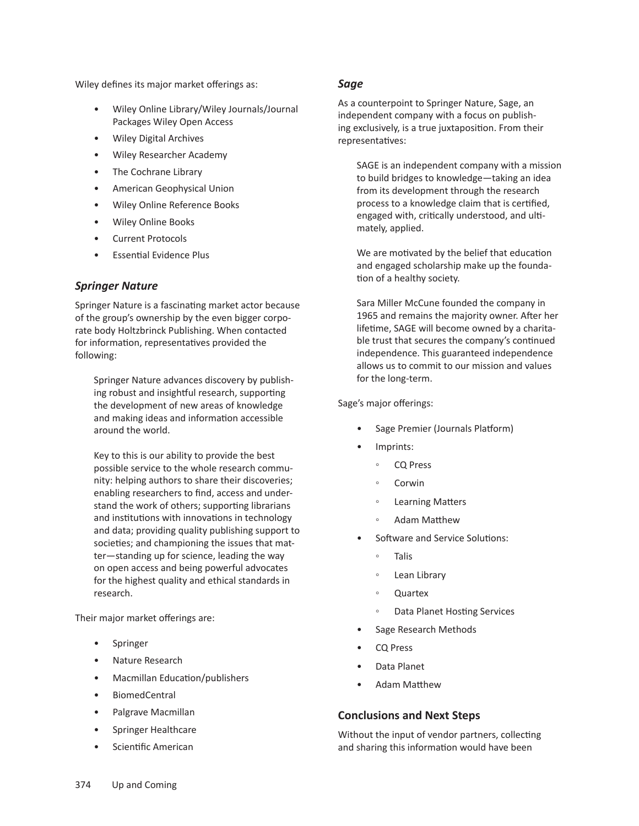Wiley defines its major market offerings as:

- Wiley Online Library/Wiley Journals/Journal Packages Wiley Open Access
- Wiley Digital Archives
- Wiley Researcher Academy
- The Cochrane Library
- American Geophysical Union
- Wiley Online Reference Books
- Wiley Online Books
- Current Protocols
- Essential Evidence Plus

### *Springer Nature*

Springer Nature is a fascinating market actor because of the group's ownership by the even bigger corporate body Holtzbrinck Publishing. When contacted for information, representatives provided the following:

Springer Nature advances discovery by publishing robust and insightful research, supporting the development of new areas of knowledge and making ideas and information accessible around the world.

Key to this is our ability to provide the best possible service to the whole research community: helping authors to share their discoveries; enabling researchers to find, access and understand the work of others; supporting librarians and institutions with innovations in technology and data; providing quality publishing support to societies; and championing the issues that matter—standing up for science, leading the way on open access and being powerful advocates for the highest quality and ethical standards in research.

Their major market offerings are:

- **Springer**
- Nature Research
- Macmillan Education/publishers
- BiomedCentral
- Palgrave Macmillan
- Springer Healthcare
- Scientific American

#### *Sage*

As a counterpoint to Springer Nature, Sage, an independent company with a focus on publishing exclusively, is a true juxtaposition. From their representatives:

SAGE is an independent company with a mission to build bridges to knowledge—taking an idea from its development through the research process to a knowledge claim that is certified, engaged with, critically understood, and ultimately, applied.

We are motivated by the belief that education and engaged scholarship make up the foundation of a healthy society.

Sara Miller McCune founded the company in 1965 and remains the majority owner. After her lifetime, SAGE will become owned by a charitable trust that secures the company's continued independence. This guaranteed independence allows us to commit to our mission and values for the long-term.

#### Sage's major offerings:

- Sage Premier (Journals Platform)
- Imprints:
	- CQ Press
	- Corwin
	- Learning Matters
	- Adam Matthew
- Software and Service Solutions:
	- Talis
	- Lean Library
	- Quartex
	- Data Planet Hosting Services
- Sage Research Methods
- CQ Press
- Data Planet
- Adam Matthew

#### **Conclusions and Next Steps**

Without the input of vendor partners, collecting and sharing this information would have been